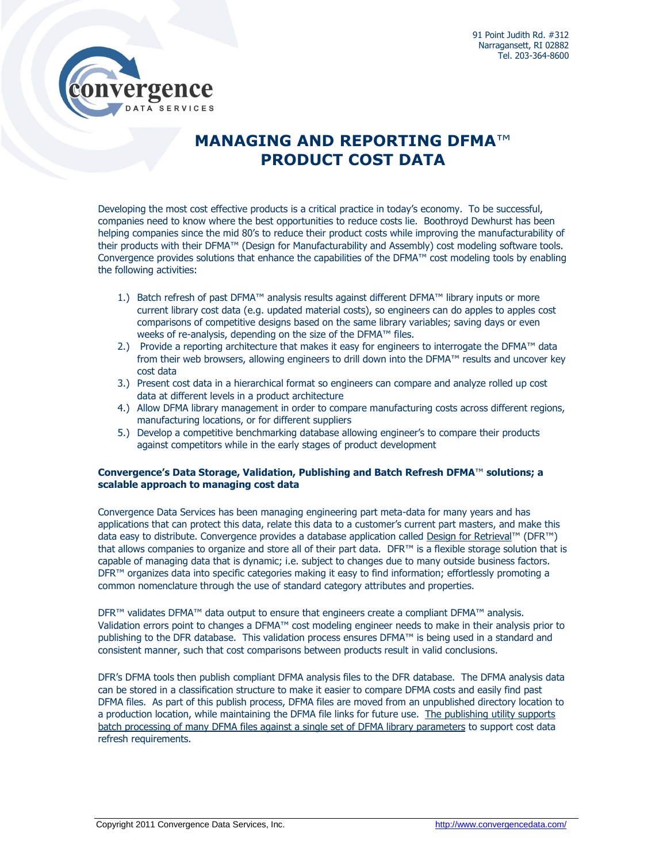

# **MANAGING AND REPORTING DFMA**™ **PRODUCT COST DATA**

Developing the most cost effective products is a critical practice in today's economy. To be successful, companies need to know where the best opportunities to reduce costs lie. Boothroyd Dewhurst has been helping companies since the mid 80's to reduce their product costs while improving the manufacturability of their products with their DFMA™ (Design for Manufacturability and Assembly) cost modeling software tools. Convergence provides solutions that enhance the capabilities of the DFMA™ cost modeling tools by enabling the following activities:

- 1.) Batch refresh of past DFMA™ analysis results against different DFMA™ library inputs or more current library cost data (e.g. updated material costs), so engineers can do apples to apples cost comparisons of competitive designs based on the same library variables; saving days or even weeks of re-analysis, depending on the size of the DFMA™ files.
- 2.) Provide a reporting architecture that makes it easy for engineers to interrogate the DFMA™ data from their web browsers, allowing engineers to drill down into the DFMA™ results and uncover key cost data
- 3.) Present cost data in a hierarchical format so engineers can compare and analyze rolled up cost data at different levels in a product architecture
- 4.) Allow DFMA library management in order to compare manufacturing costs across different regions, manufacturing locations, or for different suppliers
- 5.) Develop a competitive benchmarking database allowing engineer's to compare their products against competitors while in the early stages of product development

## **Convergence's Data Storage, Validation, Publishing and Batch Refresh DFMA**™ **solutions; a scalable approach to managing cost data**

Convergence Data Services has been managing engineering part meta-data for many years and has applications that can protect this data, relate this data to a customer's current part masters, and make this data easy to distribute. Convergence provides a database application called [Design for Retrieval](http://www.convergencedata.com/products/dfr.htm)™ (DFR™) that allows companies to organize and store all of their part data. DFR™ is a flexible storage solution that is capable of managing data that is dynamic; i.e. subject to changes due to many outside business factors. DFR<sup>™</sup> organizes data into specific categories making it easy to find information; effortlessly promoting a common nomenclature through the use of standard category attributes and properties.

DFR<sup>™</sup> validates DFMA<sup>™</sup> data output to ensure that engineers create a compliant DFMA™ analysis. Validation errors point to changes a DFMA™ cost modeling engineer needs to make in their analysis prior to publishing to the DFR database. This validation process ensures DFMA™ is being used in a standard and consistent manner, such that cost comparisons between products result in valid conclusions.

DFR's DFMA tools then publish compliant DFMA analysis files to the DFR database. The DFMA analysis data can be stored in a classification structure to make it easier to compare DFMA costs and easily find past DFMA files. As part of this publish process, DFMA files are moved from an unpublished directory location to a production location, while maintaining the DFMA file links for future use. The publishing utility supports batch processing of many DFMA files against a single set of DFMA library parameters to support cost data refresh requirements.